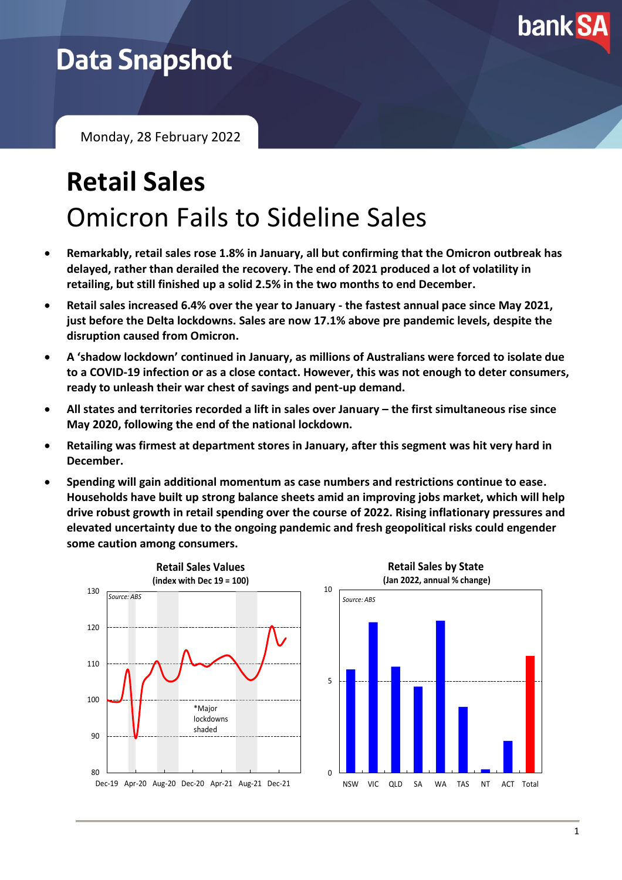

## **Data Snapshot**

Monday, 28 February 2022

# **Retail Sales** Omicron Fails to Sideline Sales

- **Remarkably, retail sales rose 1.8% in January, all but confirming that the Omicron outbreak has delayed, rather than derailed the recovery. The end of 2021 produced a lot of volatility in retailing, but still finished up a solid 2.5% in the two months to end December.**
- **Retail sales increased 6.4% over the year to January - the fastest annual pace since May 2021, just before the Delta lockdowns. Sales are now 17.1% above pre pandemic levels, despite the disruption caused from Omicron.**
- **A 'shadow lockdown' continued in January, as millions of Australians were forced to isolate due to a COVID-19 infection or as a close contact. However, this was not enough to deter consumers, ready to unleash their war chest of savings and pent-up demand.**
- All states and territories recorded a lift in sales over January the first simultaneous rise since **May 2020, following the end of the national lockdown.**
- **Retailing was firmest at department stores in January, after this segment was hit very hard in December.**
- **Spending will gain additional momentum as case numbers and restrictions continue to ease. Households have built up strong balance sheets amid an improving jobs market, which will help drive robust growth in retail spending over the course of 2022. Rising inflationary pressures and elevated uncertainty due to the ongoing pandemic and fresh geopolitical risks could engender some caution among consumers.**



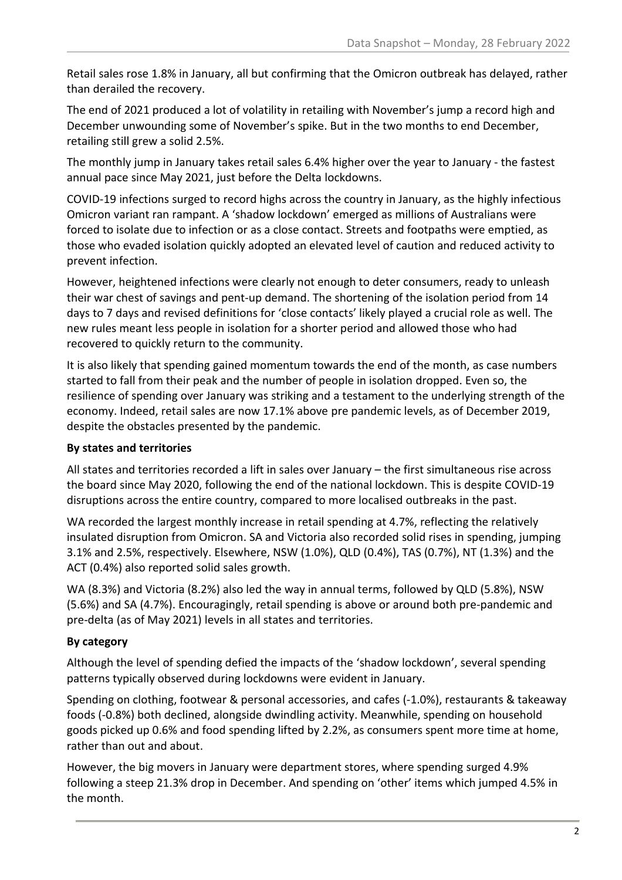Retail sales rose 1.8% in January, all but confirming that the Omicron outbreak has delayed, rather than derailed the recovery.

The end of 2021 produced a lot of volatility in retailing with November's jump a record high and December unwounding some of November's spike. But in the two months to end December, retailing still grew a solid 2.5%.

The monthly jump in January takes retail sales 6.4% higher over the year to January - the fastest annual pace since May 2021, just before the Delta lockdowns.

COVID-19 infections surged to record highs across the country in January, as the highly infectious Omicron variant ran rampant. A 'shadow lockdown' emerged as millions of Australians were forced to isolate due to infection or as a close contact. Streets and footpaths were emptied, as those who evaded isolation quickly adopted an elevated level of caution and reduced activity to prevent infection.

However, heightened infections were clearly not enough to deter consumers, ready to unleash their war chest of savings and pent-up demand. The shortening of the isolation period from 14 days to 7 days and revised definitions for 'close contacts' likely played a crucial role as well. The new rules meant less people in isolation for a shorter period and allowed those who had recovered to quickly return to the community.

It is also likely that spending gained momentum towards the end of the month, as case numbers started to fall from their peak and the number of people in isolation dropped. Even so, the resilience of spending over January was striking and a testament to the underlying strength of the economy. Indeed, retail sales are now 17.1% above pre pandemic levels, as of December 2019, despite the obstacles presented by the pandemic.

### **By states and territories**

All states and territories recorded a lift in sales over January – the first simultaneous rise across the board since May 2020, following the end of the national lockdown. This is despite COVID-19 disruptions across the entire country, compared to more localised outbreaks in the past.

WA recorded the largest monthly increase in retail spending at 4.7%, reflecting the relatively insulated disruption from Omicron. SA and Victoria also recorded solid rises in spending, jumping 3.1% and 2.5%, respectively. Elsewhere, NSW (1.0%), QLD (0.4%), TAS (0.7%), NT (1.3%) and the ACT (0.4%) also reported solid sales growth.

WA (8.3%) and Victoria (8.2%) also led the way in annual terms, followed by QLD (5.8%), NSW (5.6%) and SA (4.7%). Encouragingly, retail spending is above or around both pre-pandemic and pre-delta (as of May 2021) levels in all states and territories.

### **By category**

Although the level of spending defied the impacts of the 'shadow lockdown', several spending patterns typically observed during lockdowns were evident in January.

Spending on clothing, footwear & personal accessories, and cafes (-1.0%), restaurants & takeaway foods (-0.8%) both declined, alongside dwindling activity. Meanwhile, spending on household goods picked up 0.6% and food spending lifted by 2.2%, as consumers spent more time at home, rather than out and about.

However, the big movers in January were department stores, where spending surged 4.9% following a steep 21.3% drop in December. And spending on 'other' items which jumped 4.5% in the month.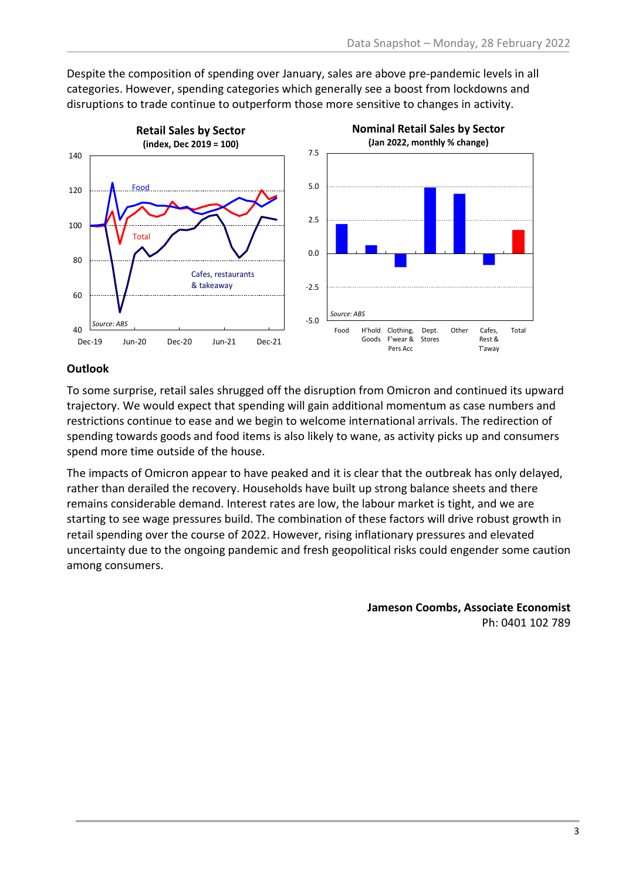

Despite the composition of spending over January, sales are above pre-pandemic levels in all categories. However, spending categories which generally see a boost from lockdowns and disruptions to trade continue to outperform those more sensitive to changes in activity.

### **Outlook**

To some surprise, retail sales shrugged off the disruption from Omicron and continued its upward trajectory. We would expect that spending will gain additional momentum as case numbers and restrictions continue to ease and we begin to welcome international arrivals. The redirection of spending towards goods and food items is also likely to wane, as activity picks up and consumers spend more time outside of the house.

The impacts of Omicron appear to have peaked and it is clear that the outbreak has only delayed, rather than derailed the recovery. Households have built up strong balance sheets and there remains considerable demand. Interest rates are low, the labour market is tight, and we are starting to see wage pressures build. The combination of these factors will drive robust growth in retail spending over the course of 2022. However, rising inflationary pressures and elevated uncertainty due to the ongoing pandemic and fresh geopolitical risks could engender some caution among consumers.

> **Jameson Coombs, Associate Economist** Ph: 0401 102 789